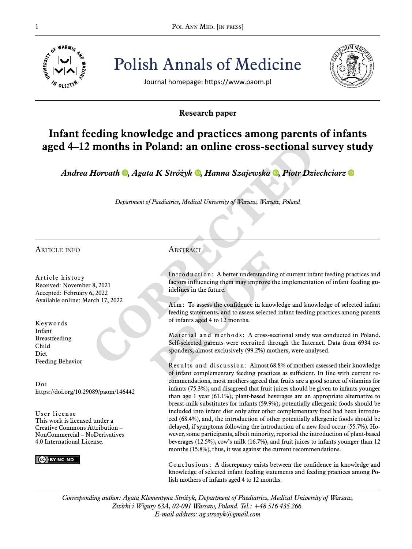

Pol ANN MED. [IN PRESS] Polish Annals of Medicine



Journal homepage: https://www.paom.pl

# **Research paper**

# **Infant feeding knowledge and practices among parents of infants aged 4–12 months in Poland: an online cross-sectional survey study**

*Andrea Horvath [,](https://orcid.org/0000-0001-9940-0001) Agata K Stróżyk [,](https://orcid.org/0000-0001-5737-0844) Hanna Szajewska, Piotr Dziechciarz*

*Department of Paediatrics, Medical University of Warsaw, Warsaw, Poland*

article info

Article history Received: November 8, 2021 Accepted: February 6, 2022 Available online: March 17, 2022

Keywords Infant Breastfeeding Child Diet Feeding Behavior

Doi https://doi.org/10.29089/paom/146442

User license This work is licensed under a Creative Commons Attribution – NonCommercial – NoDerivatives 4.0 International License.

CC BY-NC-ND

# **ABSTRACT**

Introduction: A better understanding of current infant feeding practices and factors influencing them may improve the implementation of infant feeding guidelines in the future.

Aim: To assess the confidence in knowledge and knowledge of selected infant feeding statements, and to assess selected infant feeding practices among parents of infants aged 4 to 12 months.

Material and methods: A cross-sectional study was conducted in Poland. Self-selected parents were recruited through the Internet. Data from 6934 responders, almost exclusively (99.2%) mothers, were analysed.

Results and discussion: Almost 68.8% of mothers assessed their knowledge of infant complementary feeding practices as sufficient. In line with current recommendations, most mothers agreed that fruits are a good source of vitamins for infants (75.3%); and disagreed that fruit juices should be given to infants younger than age 1 year (61.1%); plant-based beverages are an appropriate alternative to breast-milk substitutes for infants (59.9%); potentially allergenic foods should be included into infant diet only after other complementary food had been introduced (68.4%), and, the introduction of other potentially allergenic foods should be delayed, if symptoms following the introduction of a new food occur (55.7%). However, some participants, albeit minority, reported the introduction of plant-based beverages (12.5%), cow's milk (16.7%), and fruit juices to infants younger than 12 months (15.8%), thus, it was against the current recommendations.

Conclusions: A discrepancy exists between the confidence in knowledge and knowledge of selected infant feeding statements and feeding practices among Polish mothers of infants aged 4 to 12 months.

*Corresponding author: Agata Klementyna Stróżyk, Department of Paediatrics, Medical University of Warsaw, Żwirki i Wigury 63A, 02-091 Warsaw, Poland. Tel.: +48 516 435 266. E-mail address: ag.strozyk@gmail.com*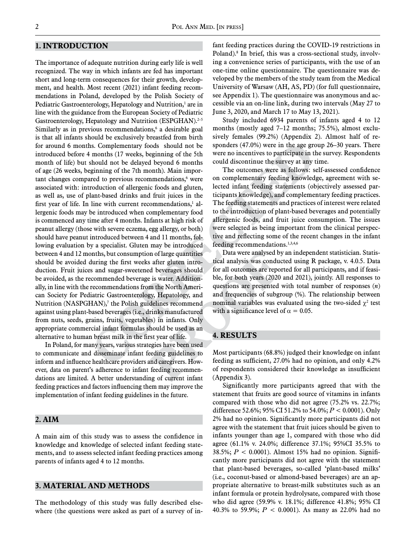# **1. Introduction**

The importance of adequate nutrition during early life is well recognized. The way in which infants are fed has important short and long-term consequences for their growth, development, and health. Most recent (2021) infant feeding recommendations in Poland, developed by the Polish Society of Pediatric Gastroenterology, Hepatology and Nutrition,1 are in line with the guidance from the European Society of Pediatric Gastroenterology, Hepatology and Nutrition (ESPGHAN).<sup>2-5</sup> Similarly as in previous recommendations,<sup>6</sup> a desirable goal is that all infants should be exclusively breastfed from birth for around 6 months. Complementary foods should not be introduced before 4 months (17 weeks, beginning of the 5th month of life) but should not be delayed beyond 6 months of age (26 weeks, beginning of the 7th month). Main important changes compared to previous recommendations,<sup>6</sup> were associated with: introduction of allergenic foods and gluten, as well as, use of plant-based drinks and fruit juices in the first year of life. In line with current recommendations, $<sup>1</sup>$  al-</sup> lergenic foods may be introduced when complementary food is commenced any time after 4 months. Infants at high risk of peanut allergy (those with severe eczema, egg allergy, or both) should have peanut introduced between 4 and 11 months, following evaluation by a specialist. Gluten may be introduced between 4 and 12 months, but consumption of large quantities should be avoided during the first weeks after gluten introduction. Fruit juices and sugar-sweetened beverages should be avoided, as the recommended beverage is water. Additionally, in line with the recommendations from the North American Society for Pediatric Gastroenterology, Hepatology, and Nutrition (NASPGHAN), $^7$  the Polish guidelines recommend against using plant-based beverages (i.e., drinks manufactured from nuts, seeds, grains, fruits, vegetables) in infants. Only appropriate commercial infant formulas should be used as an alternative to human breast milk in the first year of life.

In Poland, for many years, various strategies have been used to communicate and disseminate infant feeding guidelines to inform and influence healthcare providers and caregivers. However, data on parent's adherence to infant feeding recommendations are limited. A better understanding of current infant feeding practices and factors influencing them may improve the implementation of infant feeding guidelines in the future.

### **2. Aim**

A main aim of this study was to assess the confidence in knowledge and knowledge of selected infant feeding statements, and to assess selected infant feeding practices among parents of infants aged 4 to 12 months.

## **3. material and Methods**

The methodology of this study was fully described elsewhere (the questions were asked as part of a survey of in-

fant feeding practices during the COVID-19 restrictions in Poland).<sup>8</sup> In brief, this was a cross-sectional study, involving a convenience series of participants, with the use of an one-time online questionnaire. The questionnaire was developed by the members of the study team from the Medical University of Warsaw (AH, AS, PD) (for full questionnaire, see Appendix 1). The questionnaire was anonymous and accessible via an on-line link, during two intervals (May 27 to June 3, 2020, and March 17 to May 13, 2021).

Study included 6934 parents of infants aged 4 to 12 months (mostly aged 7–12 months; 75.5%), almost exclusively females (99.2%) (Appendix 2). Almost half of responders (47.0%) were in the age group 26–30 years. There were no incentives to participate in the survey. Respondents could discontinue the survey at any time.

The outcomes were as follows: self-assessed confidence on complementary feeding knowledge, agreement with selected infant feeding statements (objectively assessed participants knowledge), and complementary feeding practices. The feeding statements and practices of interest were related to the introduction of plant-based beverages and potentially allergenic foods, and fruit juice consumption. The issues were selected as being important from the clinical perspective and reflecting some of the recent changes in the infant feeding recommendations.<sup>1,3,4,6</sup>

Data were analysed by an independent statistician. Statistical analysis was conducted using R package, v. 4.0.5. Data for all outcomes are reported for all participants, and if feasible, for both years (2020 and 2021), jointly. All responses to questions are presented with total number of responses (*n*) and frequencies of subgroup (%). The relationship between nominal variables was evaluated using the two-sided  $\chi^2$  test with a significance level of  $\alpha = 0.05$ .

# **4. Results**

Most participants (68.8%) judged their knowledge on infant feeding as sufficient, 27.0% had no opinion, and only 4.2% of respondents considered their knowledge as insufficient (Appendix 3).

Significantly more participants agreed that with the statement that fruits are good source of vitamins in infants compared with those who did not agree (75.2% vs. 22.7%; difference 52.6%; 95% CI 51.2% to 54.0%; *P* < 0.0001). Only 2% had no opinion. Significantly more participants did not agree with the statement that fruit juices should be given to infants younger than age 1, compared with those who did agree (61.1% v. 24.0%; difference 37.1%; 95%CI 35.5% to 38.5%; *P* < 0.0001). Almost 15% had no opinion. Significantly more participants did not agree with the statement that plant-based beverages, so-called 'plant-based milks' (i.e., coconut-based or almond-based beverages) are an appropriate alternative to breast-milk substitutes such as an infant formula or protein hydrolysate, compared with those who did agree (59.9% v. 18.1%; difference 41.8%; 95% CI 40.3% to 59.9%; *P* < 0.0001). As many as 22.0% had no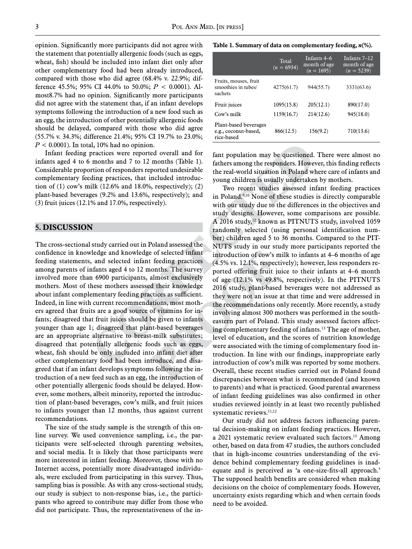opinion. Significantly more participants did not agree with the statement that potentially allergenic foods (such as eggs, wheat, fish) should be included into infant diet only after other complementary food had been already introduced, compared with those who did agree (68.4% v. 22.9%; difference 45.5%; 95% CI 44.0% to 50.0%; *P* < 0.0001). Almost8.7% had no opinion. Significantly more participants did not agree with the statement that, if an infant develops symptoms following the introduction of a new food such as an egg, the introduction of other potentially allergenic foods should be delayed, compared with those who did agree (55.7% v. 34.3%; difference 21.4%; 95% CI 19.7% to 23.0%;  $P < 0.0001$ ). In total, 10% had no opinion.

Infant feeding practices were reported overall and for infants aged 4 to 6 months and 7 to 12 months (Table 1). Considerable proportion of responders reported undesirable complementary feeding practices, that included introduction of  $(1)$  cow's milk  $(12.6\%$  and  $18.0\%$ , respectively);  $(2)$ plant-based beverages (9.2% and 13.6%, respectively); and (3) fruit juices (12.1% and 17.0%, respectively).

# **5. Discussion**

The cross-sectional study carried out in Poland assessed the confidence in knowledge and knowledge of selected infant feeding statements, and selected infant feeding practices among parents of infants aged 4 to 12 months. The survey involved more than 6900 participants, almost exclusively mothers. Most of these mothers assessed their knowledge about infant complementary feeding practices as sufficient. Indeed, in line with current recommendations, most mothers agreed that fruits are a good source of vitamins for infants; disagreed that fruit juices should be given to infants younger than age 1; disagreed that plant-based beverages are an appropriate alternative to breast-milk substitutes; disagreed that potentially allergenic foods such as eggs, wheat, fish should be only included into infant diet after other complementary food had been introduce, and disagreed that if an infant develops symptoms following the introduction of a new feed such as an egg, the introduction of other potentially allergenic foods should be delayed. However, some mothers, albeit minority, reported the introduction of plant-based beverages, cow's milk, and fruit juices to infants younger than 12 months, thus against current recommendations.

The size of the study sample is the strength of this online survey. We used convenience sampling, i.e., the participants were self-selected through parenting websites, and social media. It is likely that those participants were more interested in infant feeding. Moreover, those with no Internet access, potentially more disadvantaged individuals, were excluded from participating in this survey. Thus, sampling bias is possible. As with any cross-sectional study, our study is subject to non-response bias, i.e., the participants who agreed to contribute may differ from those who did not participate. Thus, the representativeness of the in-

#### **Table 1. Summary of data on complementary feeding,** *n***(%).**

|                                                             | Total<br>$(n = 6934)$ | Infants 4–6<br>month of age<br>$(n = 1695)$ | Infants $7-12$<br>month of age<br>$(n = 5239)$ |
|-------------------------------------------------------------|-----------------------|---------------------------------------------|------------------------------------------------|
| Fruits, mouses, fruit<br>smoothies in tubes/<br>sachets     | 4275(61.7)            | 944(55.7)                                   | 3331(63.6)                                     |
| Fruit juices                                                | 1095(15.8)            | 205(12.1)                                   | 890(17.0)                                      |
| $C0$ w's milk                                               | 1159(16.7)            | 214(12.6)                                   | 945(18.0)                                      |
| Plant-based beverages<br>e.g., coconut-based,<br>rice-based | 866(12.5)             | 156(9.2)                                    | 710(13.6)                                      |

fant population may be questioned. There were almost no fathers among the responders. However, this finding reflects the real-world situation in Poland where care of infants and young children is usually undertaken by mothers.

Two recent studies assessed infant feeding practices in Poland.9,10 None of these studies is directly comparable with our study due to the differences in the objectives and study designs. However, some comparisons are possible. A 2016 study,12 known as PITNUTS study, involved 1059 randomly selected (using personal identification number) children aged 5 to 36 months. Compared to the PIT-NUTS study in our study more participants reported the introduction of cow's milk to infants at 4–6 months of age (4.5% vs. 12.1%, respectively); however, less responders reported offering fruit juice to their infants at 4–6 month of age (12.1% vs 49.8%, respectively). In the PITNUTS 2016 study, plant-based beverages were not addressed as they were not an issue at that time and were addressed in the recommendations only recently. More recently, a study involving almost 300 mothers was performed in the southeastern part of Poland. This study assessed factors affecting complementary feeding of infants.13 The age of mother, level of education, and the scores of nutrition knowledge were associated with the timing of complementary food introduction. In line with our findings, inappropriate early introduction of cow's milk was reported by some mothers. Overall, these recent studies carried out in Poland found discrepancies between what is recommended (and known to parents) and what is practiced. Good parental awareness of infant feeding guidelines was also confirmed in other studies reviewed jointly in at least two recently published systematic reviews.<sup>11,12</sup>

Our study did not address factors influencing parental decision-making on infant feeding practices. However, a 2021 systematic review evaluated such factors.13 Among other, based on data from 47 studies, the authors concluded that in high-income countries understanding of the evidence behind complementary feeding guidelines is inadequate and is perceived as 'a one-size-fits-all approach.' The supposed health benefits are considered when making decisions on the choice of complementary foods. However, uncertainty exists regarding which and when certain foods need to be avoided.